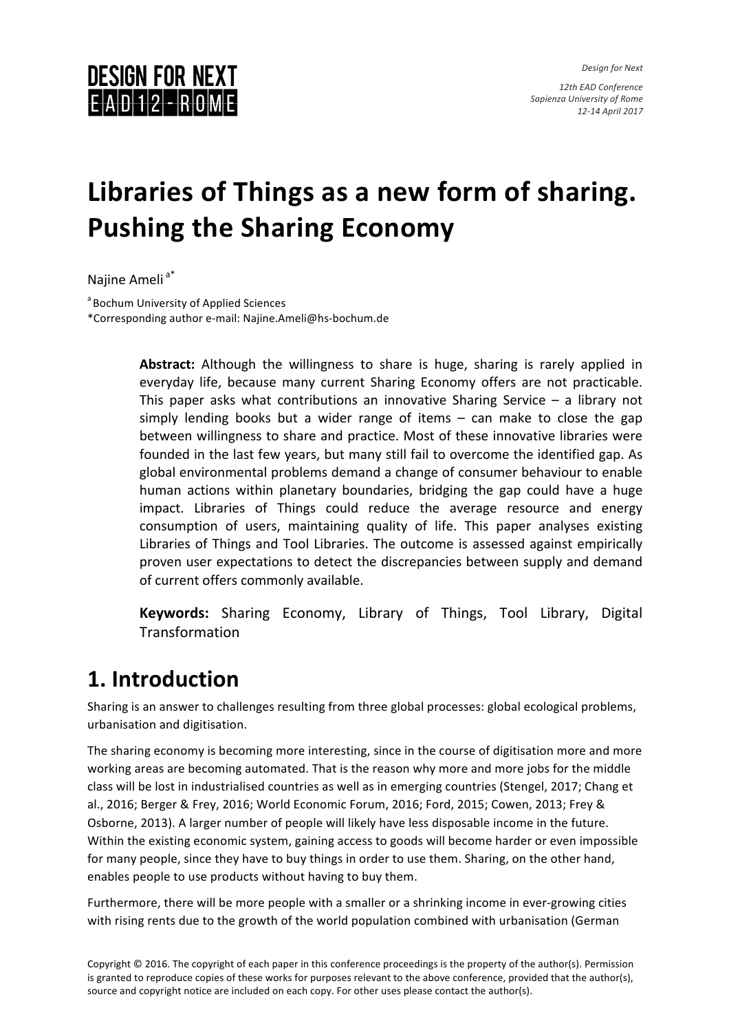*Design for Next*

12th EAD Conference *Sapienza University of Rome 12-14 April 2017*

### **DESIGN FOR NEXT**  $E$ AD 12 - ROME

# Libraries of Things as a new form of sharing. **Pushing the Sharing Economy**

Najine Ameli<sup>a\*</sup>

<sup>a</sup> Bochum University of Applied Sciences \*Corresponding author e-mail: Najine.Ameli@hs-bochum.de

> **Abstract:** Although the willingness to share is huge, sharing is rarely applied in everyday life, because many current Sharing Economy offers are not practicable. This paper asks what contributions an innovative Sharing Service  $-$  a library not simply lending books but a wider range of items  $-$  can make to close the gap between willingness to share and practice. Most of these innovative libraries were founded in the last few years, but many still fail to overcome the identified gap. As global environmental problems demand a change of consumer behaviour to enable human actions within planetary boundaries, bridging the gap could have a huge impact. Libraries of Things could reduce the average resource and energy consumption of users, maintaining quality of life. This paper analyses existing Libraries of Things and Tool Libraries. The outcome is assessed against empirically proven user expectations to detect the discrepancies between supply and demand of current offers commonly available.

> **Keywords:** Sharing Economy, Library of Things, Tool Library, Digital **Transformation**

### **1. Introduction**

Sharing is an answer to challenges resulting from three global processes: global ecological problems, urbanisation and digitisation.

The sharing economy is becoming more interesting, since in the course of digitisation more and more working areas are becoming automated. That is the reason why more and more jobs for the middle class will be lost in industrialised countries as well as in emerging countries (Stengel, 2017; Chang et al., 2016; Berger & Frey, 2016; World Economic Forum, 2016; Ford, 2015; Cowen, 2013; Frey & Osborne, 2013). A larger number of people will likely have less disposable income in the future. Within the existing economic system, gaining access to goods will become harder or even impossible for many people, since they have to buy things in order to use them. Sharing, on the other hand, enables people to use products without having to buy them.

Furthermore, there will be more people with a smaller or a shrinking income in ever-growing cities with rising rents due to the growth of the world population combined with urbanisation (German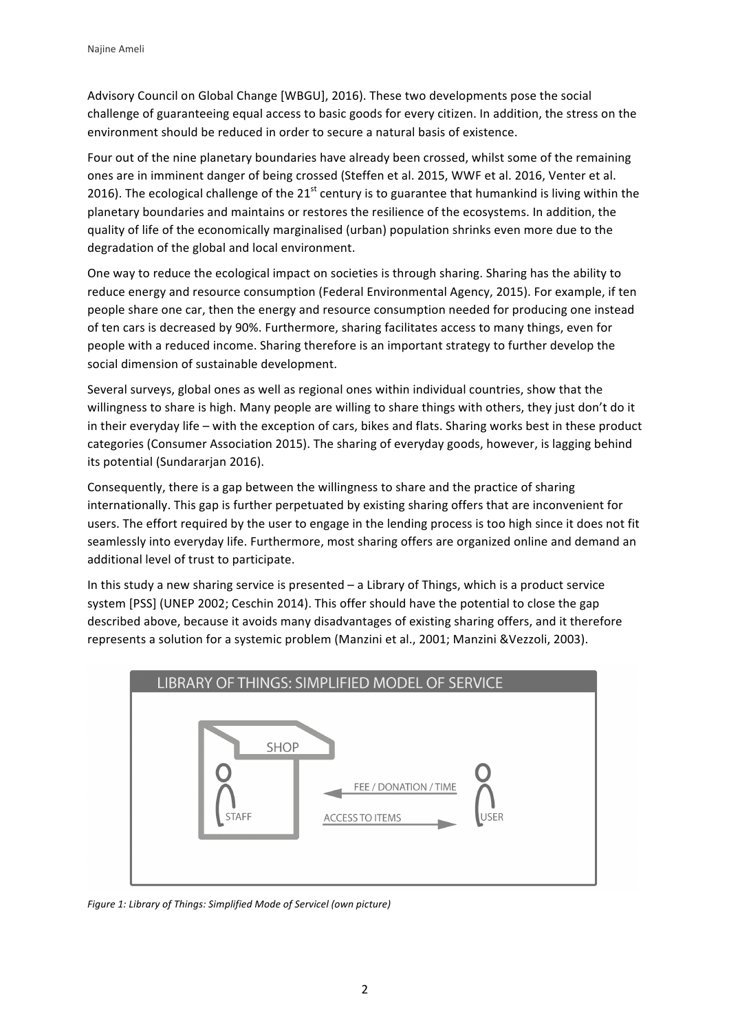Advisory Council on Global Change [WBGU], 2016). These two developments pose the social challenge of guaranteeing equal access to basic goods for every citizen. In addition, the stress on the environment should be reduced in order to secure a natural basis of existence.

Four out of the nine planetary boundaries have already been crossed, whilst some of the remaining ones are in imminent danger of being crossed (Steffen et al. 2015, WWF et al. 2016, Venter et al. 2016). The ecological challenge of the  $21<sup>st</sup>$  century is to guarantee that humankind is living within the planetary boundaries and maintains or restores the resilience of the ecosystems. In addition, the quality of life of the economically marginalised (urban) population shrinks even more due to the degradation of the global and local environment.

One way to reduce the ecological impact on societies is through sharing. Sharing has the ability to reduce energy and resource consumption (Federal Environmental Agency, 2015). For example, if ten people share one car, then the energy and resource consumption needed for producing one instead of ten cars is decreased by 90%. Furthermore, sharing facilitates access to many things, even for people with a reduced income. Sharing therefore is an important strategy to further develop the social dimension of sustainable development.

Several surveys, global ones as well as regional ones within individual countries, show that the willingness to share is high. Many people are willing to share things with others, they just don't do it in their everyday life – with the exception of cars, bikes and flats. Sharing works best in these product categories (Consumer Association 2015). The sharing of everyday goods, however, is lagging behind its potential (Sundararjan 2016).

Consequently, there is a gap between the willingness to share and the practice of sharing internationally. This gap is further perpetuated by existing sharing offers that are inconvenient for users. The effort required by the user to engage in the lending process is too high since it does not fit seamlessly into everyday life. Furthermore, most sharing offers are organized online and demand an additional level of trust to participate.

In this study a new sharing service is presented  $-$  a Library of Things, which is a product service system [PSS] (UNEP 2002; Ceschin 2014). This offer should have the potential to close the gap described above, because it avoids many disadvantages of existing sharing offers, and it therefore represents a solution for a systemic problem (Manzini et al., 2001; Manzini &Vezzoli, 2003).



*Figure 1: Library of Things: Simplified Mode of Servicel (own picture)*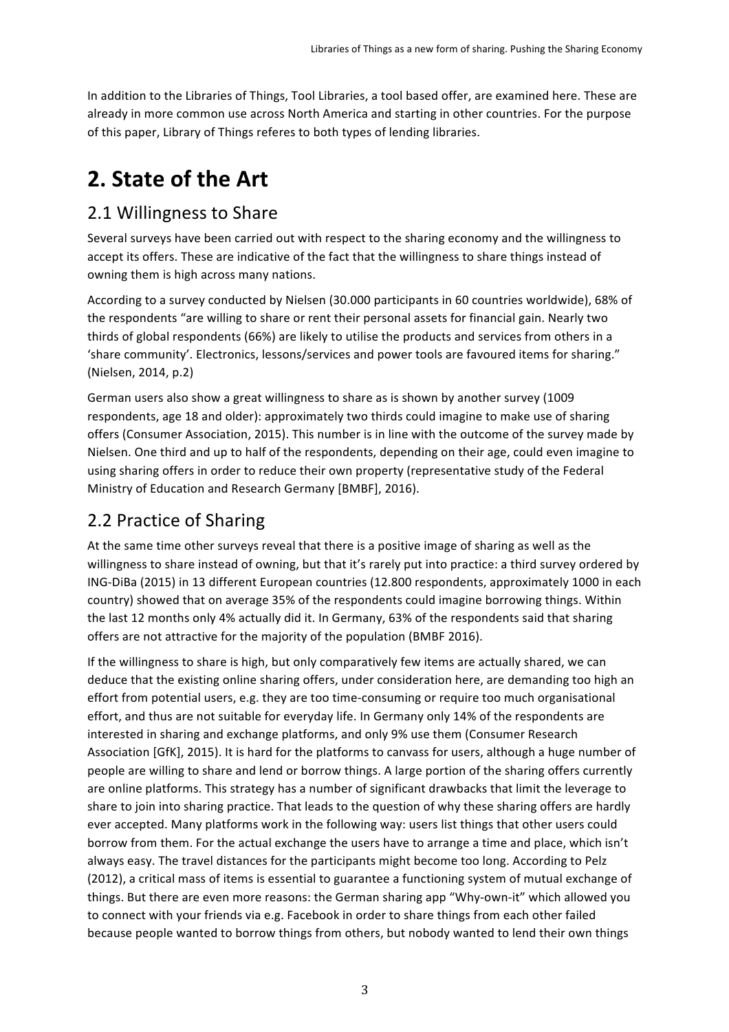In addition to the Libraries of Things, Tool Libraries, a tool based offer, are examined here. These are already in more common use across North America and starting in other countries. For the purpose of this paper, Library of Things referes to both types of lending libraries.

## **2. State of the Art**

#### 2.1 Willingness to Share

Several surveys have been carried out with respect to the sharing economy and the willingness to accept its offers. These are indicative of the fact that the willingness to share things instead of owning them is high across many nations.

According to a survey conducted by Nielsen (30.000 participants in 60 countries worldwide), 68% of the respondents "are willing to share or rent their personal assets for financial gain. Nearly two thirds of global respondents (66%) are likely to utilise the products and services from others in a 'share community'. Electronics, lessons/services and power tools are favoured items for sharing." (Nielsen, 2014, p.2)

German users also show a great willingness to share as is shown by another survey (1009 respondents, age 18 and older): approximately two thirds could imagine to make use of sharing offers (Consumer Association, 2015). This number is in line with the outcome of the survey made by Nielsen. One third and up to half of the respondents, depending on their age, could even imagine to using sharing offers in order to reduce their own property (representative study of the Federal Ministry of Education and Research Germany [BMBF], 2016).

### 2.2 Practice of Sharing

At the same time other surveys reveal that there is a positive image of sharing as well as the willingness to share instead of owning, but that it's rarely put into practice: a third survey ordered by ING-DiBa (2015) in 13 different European countries (12.800 respondents, approximately 1000 in each country) showed that on average 35% of the respondents could imagine borrowing things. Within the last 12 months only 4% actually did it. In Germany, 63% of the respondents said that sharing offers are not attractive for the majority of the population (BMBF 2016).

If the willingness to share is high, but only comparatively few items are actually shared, we can deduce that the existing online sharing offers, under consideration here, are demanding too high an effort from potential users, e.g. they are too time-consuming or require too much organisational effort, and thus are not suitable for everyday life. In Germany only 14% of the respondents are interested in sharing and exchange platforms, and only 9% use them (Consumer Research Association [GfK], 2015). It is hard for the platforms to canvass for users, although a huge number of people are willing to share and lend or borrow things. A large portion of the sharing offers currently are online platforms. This strategy has a number of significant drawbacks that limit the leverage to share to join into sharing practice. That leads to the question of why these sharing offers are hardly ever accepted. Many platforms work in the following way: users list things that other users could borrow from them. For the actual exchange the users have to arrange a time and place, which isn't always easy. The travel distances for the participants might become too long. According to Pelz (2012), a critical mass of items is essential to guarantee a functioning system of mutual exchange of things. But there are even more reasons: the German sharing app "Why-own-it" which allowed you to connect with your friends via e.g. Facebook in order to share things from each other failed because people wanted to borrow things from others, but nobody wanted to lend their own things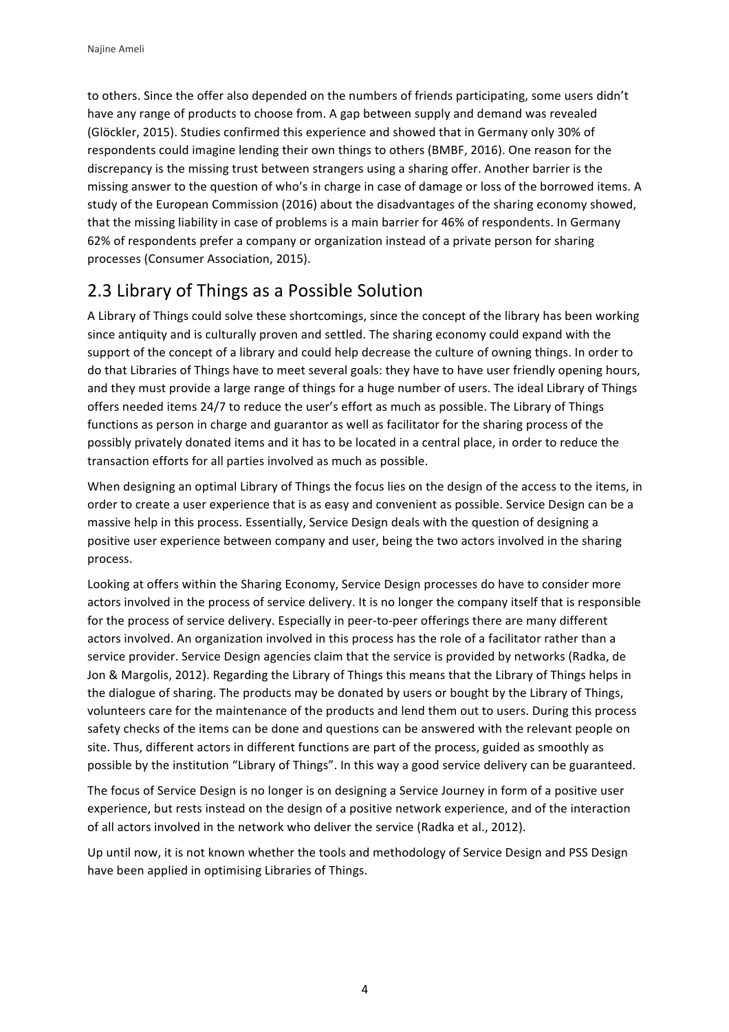to others. Since the offer also depended on the numbers of friends participating, some users didn't have any range of products to choose from. A gap between supply and demand was revealed (Glöckler, 2015). Studies confirmed this experience and showed that in Germany only 30% of respondents could imagine lending their own things to others (BMBF, 2016). One reason for the discrepancy is the missing trust between strangers using a sharing offer. Another barrier is the missing answer to the question of who's in charge in case of damage or loss of the borrowed items. A study of the European Commission (2016) about the disadvantages of the sharing economy showed, that the missing liability in case of problems is a main barrier for 46% of respondents. In Germany 62% of respondents prefer a company or organization instead of a private person for sharing processes (Consumer Association, 2015).

#### 2.3 Library of Things as a Possible Solution

A Library of Things could solve these shortcomings, since the concept of the library has been working since antiquity and is culturally proven and settled. The sharing economy could expand with the support of the concept of a library and could help decrease the culture of owning things. In order to do that Libraries of Things have to meet several goals: they have to have user friendly opening hours, and they must provide a large range of things for a huge number of users. The ideal Library of Things offers needed items 24/7 to reduce the user's effort as much as possible. The Library of Things functions as person in charge and guarantor as well as facilitator for the sharing process of the possibly privately donated items and it has to be located in a central place, in order to reduce the transaction efforts for all parties involved as much as possible.

When designing an optimal Library of Things the focus lies on the design of the access to the items, in order to create a user experience that is as easy and convenient as possible. Service Design can be a massive help in this process. Essentially, Service Design deals with the question of designing a positive user experience between company and user, being the two actors involved in the sharing process.

Looking at offers within the Sharing Economy, Service Design processes do have to consider more actors involved in the process of service delivery. It is no longer the company itself that is responsible for the process of service delivery. Especially in peer-to-peer offerings there are many different actors involved. An organization involved in this process has the role of a facilitator rather than a service provider. Service Design agencies claim that the service is provided by networks (Radka, de Jon & Margolis, 2012). Regarding the Library of Things this means that the Library of Things helps in the dialogue of sharing. The products may be donated by users or bought by the Library of Things, volunteers care for the maintenance of the products and lend them out to users. During this process safety checks of the items can be done and questions can be answered with the relevant people on site. Thus, different actors in different functions are part of the process, guided as smoothly as possible by the institution "Library of Things". In this way a good service delivery can be guaranteed.

The focus of Service Design is no longer is on designing a Service Journey in form of a positive user experience, but rests instead on the design of a positive network experience, and of the interaction of all actors involved in the network who deliver the service (Radka et al., 2012).

Up until now, it is not known whether the tools and methodology of Service Design and PSS Design have been applied in optimising Libraries of Things.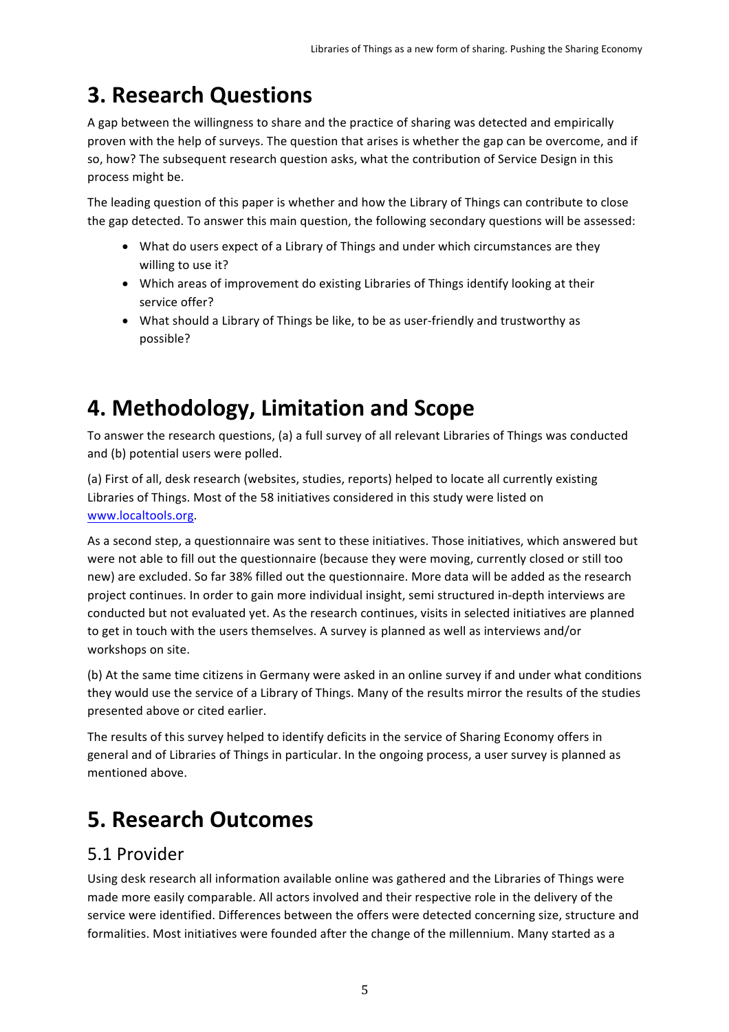## **3. Research Questions**

A gap between the willingness to share and the practice of sharing was detected and empirically proven with the help of surveys. The question that arises is whether the gap can be overcome, and if so, how? The subsequent research question asks, what the contribution of Service Design in this process might be.

The leading question of this paper is whether and how the Library of Things can contribute to close the gap detected. To answer this main question, the following secondary questions will be assessed:

- What do users expect of a Library of Things and under which circumstances are they willing to use it?
- Which areas of improvement do existing Libraries of Things identify looking at their service offer?
- What should a Library of Things be like, to be as user-friendly and trustworthy as possible?

## **4. Methodology, Limitation and Scope**

To answer the research questions, (a) a full survey of all relevant Libraries of Things was conducted and (b) potential users were polled.

(a) First of all, desk research (websites, studies, reports) helped to locate all currently existing Libraries of Things. Most of the 58 initiatives considered in this study were listed on www.localtools.org.

As a second step, a questionnaire was sent to these initiatives. Those initiatives, which answered but were not able to fill out the questionnaire (because they were moving, currently closed or still too new) are excluded. So far 38% filled out the questionnaire. More data will be added as the research project continues. In order to gain more individual insight, semi structured in-depth interviews are conducted but not evaluated yet. As the research continues, visits in selected initiatives are planned to get in touch with the users themselves. A survey is planned as well as interviews and/or workshops on site.

(b) At the same time citizens in Germany were asked in an online survey if and under what conditions they would use the service of a Library of Things. Many of the results mirror the results of the studies presented above or cited earlier.

The results of this survey helped to identify deficits in the service of Sharing Economy offers in general and of Libraries of Things in particular. In the ongoing process, a user survey is planned as mentioned above.

## **5. Research Outcomes**

#### 5.1 Provider

Using desk research all information available online was gathered and the Libraries of Things were made more easily comparable. All actors involved and their respective role in the delivery of the service were identified. Differences between the offers were detected concerning size, structure and formalities. Most initiatives were founded after the change of the millennium. Many started as a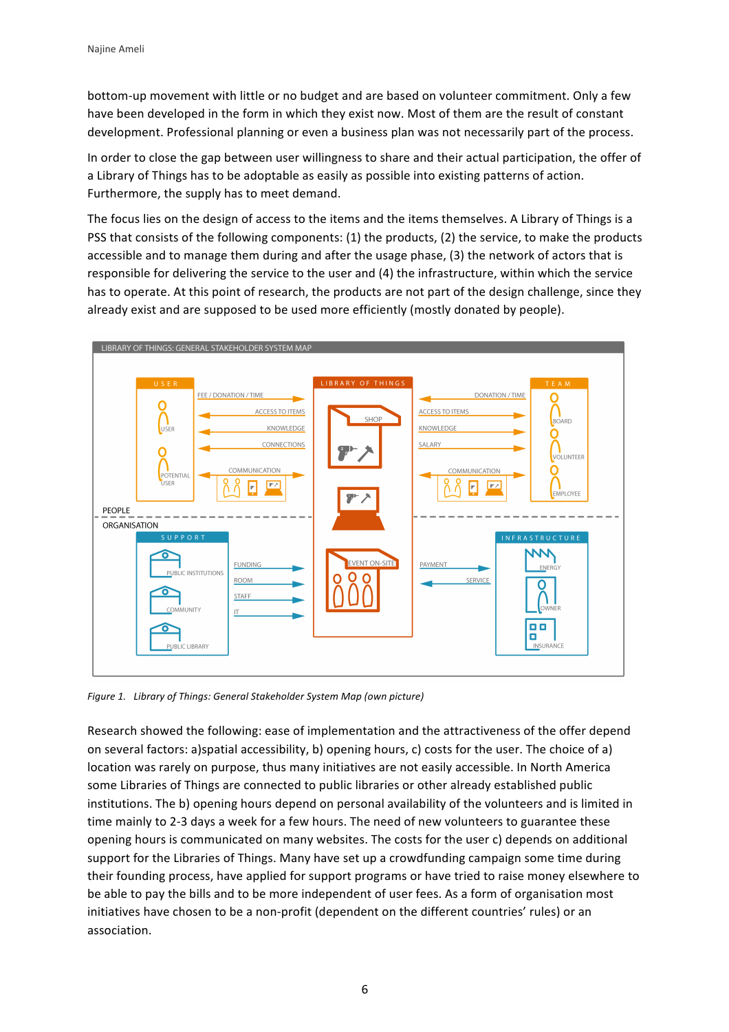bottom-up movement with little or no budget and are based on volunteer commitment. Only a few have been developed in the form in which they exist now. Most of them are the result of constant development. Professional planning or even a business plan was not necessarily part of the process.

In order to close the gap between user willingness to share and their actual participation, the offer of a Library of Things has to be adoptable as easily as possible into existing patterns of action. Furthermore, the supply has to meet demand.

The focus lies on the design of access to the items and the items themselves. A Library of Things is a PSS that consists of the following components: (1) the products, (2) the service, to make the products accessible and to manage them during and after the usage phase, (3) the network of actors that is responsible for delivering the service to the user and (4) the infrastructure, within which the service has to operate. At this point of research, the products are not part of the design challenge, since they already exist and are supposed to be used more efficiently (mostly donated by people).



Figure 1. Library of Things: General Stakeholder System Map (own picture)

Research showed the following: ease of implementation and the attractiveness of the offer depend on several factors: a)spatial accessibility, b) opening hours, c) costs for the user. The choice of a) location was rarely on purpose, thus many initiatives are not easily accessible. In North America some Libraries of Things are connected to public libraries or other already established public institutions. The b) opening hours depend on personal availability of the volunteers and is limited in time mainly to 2-3 days a week for a few hours. The need of new volunteers to guarantee these opening hours is communicated on many websites. The costs for the user c) depends on additional support for the Libraries of Things. Many have set up a crowdfunding campaign some time during their founding process, have applied for support programs or have tried to raise money elsewhere to be able to pay the bills and to be more independent of user fees. As a form of organisation most initiatives have chosen to be a non-profit (dependent on the different countries' rules) or an association.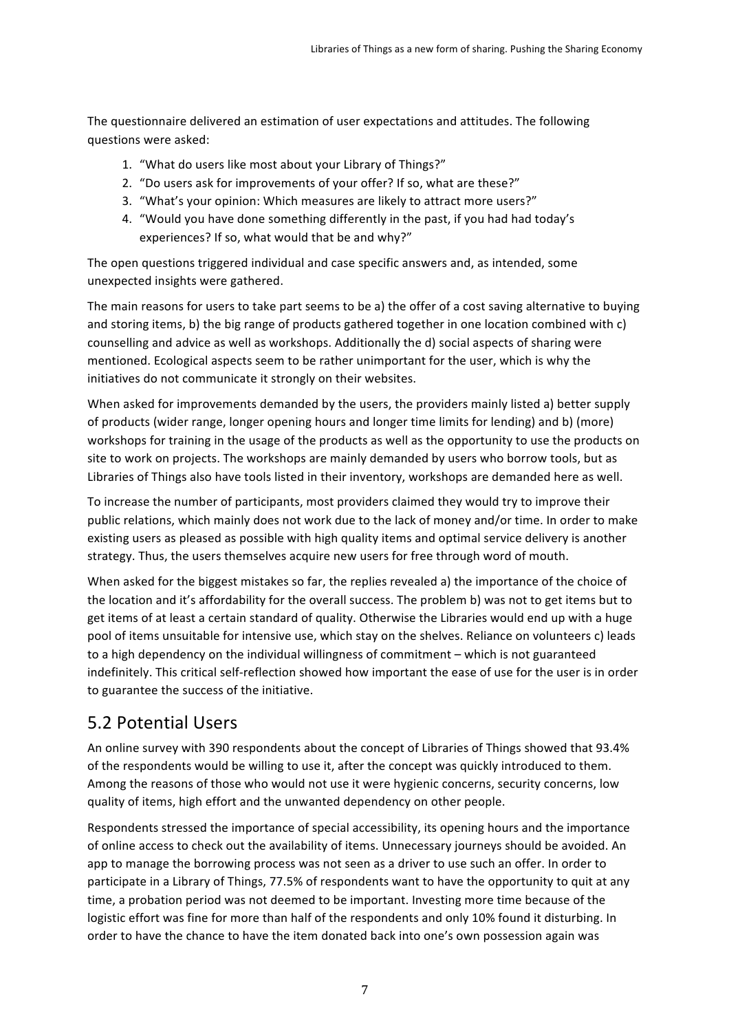The questionnaire delivered an estimation of user expectations and attitudes. The following questions were asked:

- 1. "What do users like most about your Library of Things?"
- 2. "Do users ask for improvements of your offer? If so, what are these?"
- 3. "What's your opinion: Which measures are likely to attract more users?"
- 4. "Would you have done something differently in the past, if you had had today's experiences? If so, what would that be and why?"

The open questions triggered individual and case specific answers and, as intended, some unexpected insights were gathered.

The main reasons for users to take part seems to be a) the offer of a cost saving alternative to buying and storing items, b) the big range of products gathered together in one location combined with c) counselling and advice as well as workshops. Additionally the d) social aspects of sharing were mentioned. Ecological aspects seem to be rather unimportant for the user, which is why the initiatives do not communicate it strongly on their websites.

When asked for improvements demanded by the users, the providers mainly listed a) better supply of products (wider range, longer opening hours and longer time limits for lending) and b) (more) workshops for training in the usage of the products as well as the opportunity to use the products on site to work on projects. The workshops are mainly demanded by users who borrow tools, but as Libraries of Things also have tools listed in their inventory, workshops are demanded here as well.

To increase the number of participants, most providers claimed they would try to improve their public relations, which mainly does not work due to the lack of money and/or time. In order to make existing users as pleased as possible with high quality items and optimal service delivery is another strategy. Thus, the users themselves acquire new users for free through word of mouth.

When asked for the biggest mistakes so far, the replies revealed a) the importance of the choice of the location and it's affordability for the overall success. The problem b) was not to get items but to get items of at least a certain standard of quality. Otherwise the Libraries would end up with a huge pool of items unsuitable for intensive use, which stay on the shelves. Reliance on volunteers c) leads to a high dependency on the individual willingness of commitment – which is not guaranteed indefinitely. This critical self-reflection showed how important the ease of use for the user is in order to guarantee the success of the initiative.

#### 5.2 Potential Users

An online survey with 390 respondents about the concept of Libraries of Things showed that 93.4% of the respondents would be willing to use it, after the concept was quickly introduced to them. Among the reasons of those who would not use it were hygienic concerns, security concerns, low quality of items, high effort and the unwanted dependency on other people.

Respondents stressed the importance of special accessibility, its opening hours and the importance of online access to check out the availability of items. Unnecessary journeys should be avoided. An app to manage the borrowing process was not seen as a driver to use such an offer. In order to participate in a Library of Things, 77.5% of respondents want to have the opportunity to quit at any time, a probation period was not deemed to be important. Investing more time because of the logistic effort was fine for more than half of the respondents and only 10% found it disturbing. In order to have the chance to have the item donated back into one's own possession again was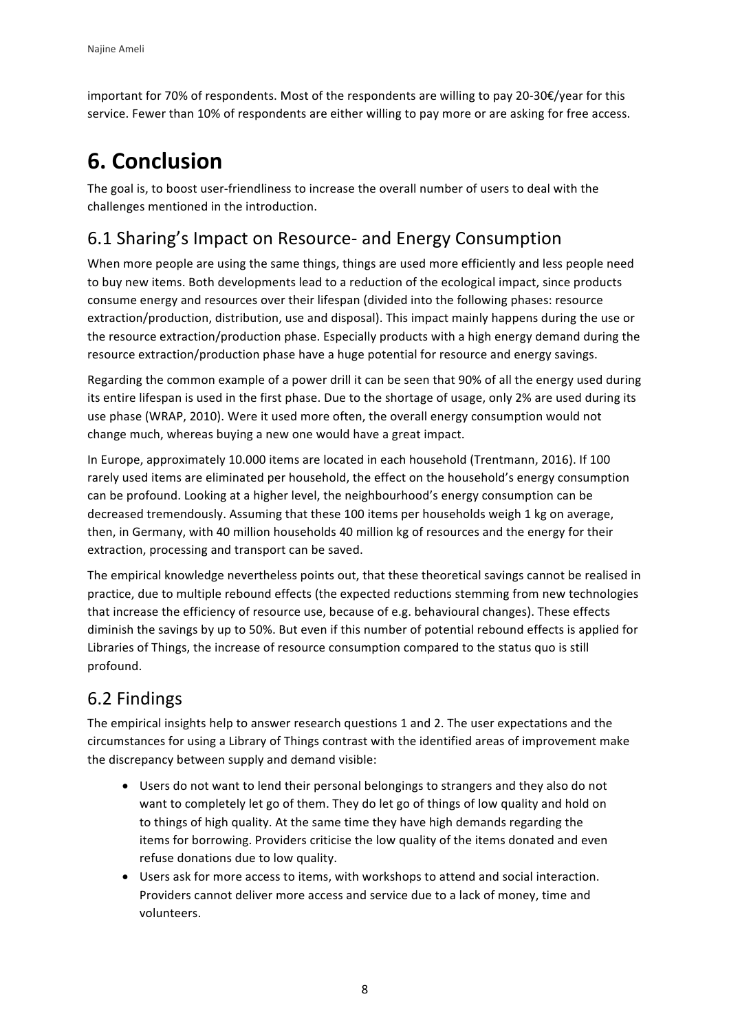important for 70% of respondents. Most of the respondents are willing to pay 20-30 $\epsilon$ /year for this service. Fewer than 10% of respondents are either willing to pay more or are asking for free access.

## **6. Conclusion**

The goal is, to boost user-friendliness to increase the overall number of users to deal with the challenges mentioned in the introduction.

#### 6.1 Sharing's Impact on Resource- and Energy Consumption

When more people are using the same things, things are used more efficiently and less people need to buy new items. Both developments lead to a reduction of the ecological impact, since products consume energy and resources over their lifespan (divided into the following phases: resource extraction/production, distribution, use and disposal). This impact mainly happens during the use or the resource extraction/production phase. Especially products with a high energy demand during the resource extraction/production phase have a huge potential for resource and energy savings.

Regarding the common example of a power drill it can be seen that 90% of all the energy used during its entire lifespan is used in the first phase. Due to the shortage of usage, only 2% are used during its use phase (WRAP, 2010). Were it used more often, the overall energy consumption would not change much, whereas buying a new one would have a great impact.

In Europe, approximately 10.000 items are located in each household (Trentmann, 2016). If 100 rarely used items are eliminated per household, the effect on the household's energy consumption can be profound. Looking at a higher level, the neighbourhood's energy consumption can be decreased tremendously. Assuming that these 100 items per households weigh 1 kg on average, then, in Germany, with 40 million households 40 million kg of resources and the energy for their extraction, processing and transport can be saved.

The empirical knowledge nevertheless points out, that these theoretical savings cannot be realised in practice, due to multiple rebound effects (the expected reductions stemming from new technologies that increase the efficiency of resource use, because of e.g. behavioural changes). These effects diminish the savings by up to 50%. But even if this number of potential rebound effects is applied for Libraries of Things, the increase of resource consumption compared to the status quo is still profound.

### 6.2 Findings

The empirical insights help to answer research questions 1 and 2. The user expectations and the circumstances for using a Library of Things contrast with the identified areas of improvement make the discrepancy between supply and demand visible:

- Users do not want to lend their personal belongings to strangers and they also do not want to completely let go of them. They do let go of things of low quality and hold on to things of high quality. At the same time they have high demands regarding the items for borrowing. Providers criticise the low quality of the items donated and even refuse donations due to low quality.
- Users ask for more access to items, with workshops to attend and social interaction. Providers cannot deliver more access and service due to a lack of money, time and volunteers.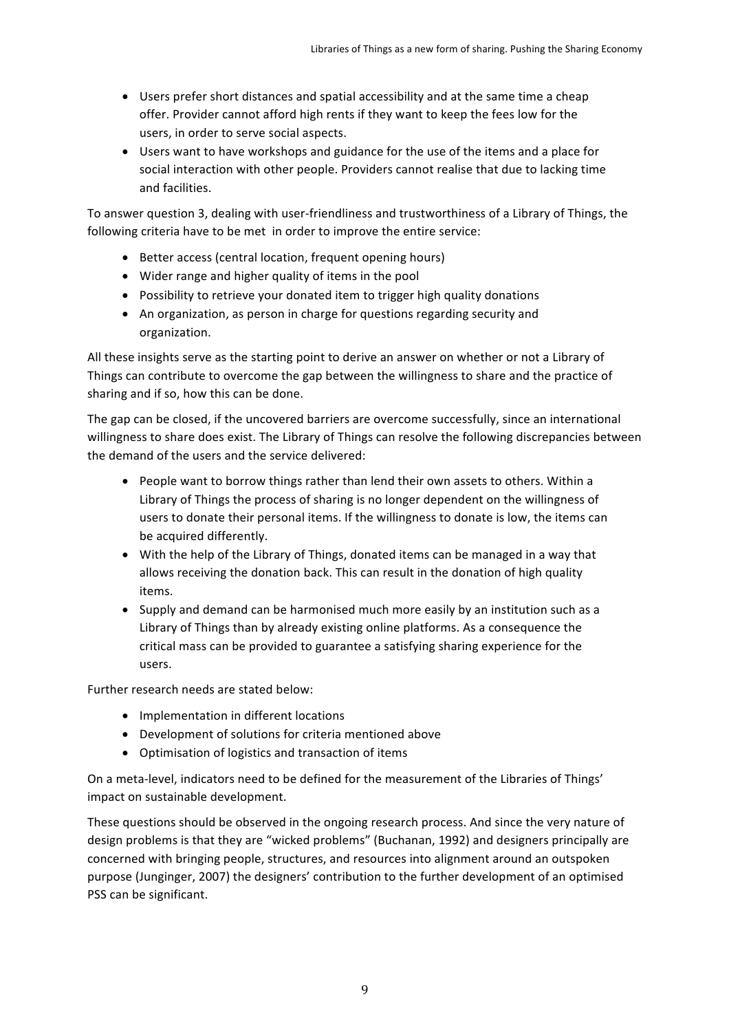- Users prefer short distances and spatial accessibility and at the same time a cheap offer. Provider cannot afford high rents if they want to keep the fees low for the users, in order to serve social aspects.
- Users want to have workshops and guidance for the use of the items and a place for social interaction with other people. Providers cannot realise that due to lacking time and facilities.

To answer question 3, dealing with user-friendliness and trustworthiness of a Library of Things, the following criteria have to be met in order to improve the entire service:

- Better access (central location, frequent opening hours)
- Wider range and higher quality of items in the pool
- Possibility to retrieve your donated item to trigger high quality donations
- An organization, as person in charge for questions regarding security and organization.

All these insights serve as the starting point to derive an answer on whether or not a Library of Things can contribute to overcome the gap between the willingness to share and the practice of sharing and if so, how this can be done.

The gap can be closed, if the uncovered barriers are overcome successfully, since an international willingness to share does exist. The Library of Things can resolve the following discrepancies between the demand of the users and the service delivered:

- People want to borrow things rather than lend their own assets to others. Within a Library of Things the process of sharing is no longer dependent on the willingness of users to donate their personal items. If the willingness to donate is low, the items can be acquired differently.
- With the help of the Library of Things, donated items can be managed in a way that allows receiving the donation back. This can result in the donation of high quality items.
- Supply and demand can be harmonised much more easily by an institution such as a Library of Things than by already existing online platforms. As a consequence the critical mass can be provided to guarantee a satisfying sharing experience for the users.

Further research needs are stated below:

- Implementation in different locations
- Development of solutions for criteria mentioned above
- Optimisation of logistics and transaction of items

On a meta-level, indicators need to be defined for the measurement of the Libraries of Things' impact on sustainable development.

These questions should be observed in the ongoing research process. And since the very nature of design problems is that they are "wicked problems" (Buchanan, 1992) and designers principally are concerned with bringing people, structures, and resources into alignment around an outspoken purpose (Junginger, 2007) the designers' contribution to the further development of an optimised PSS can be significant.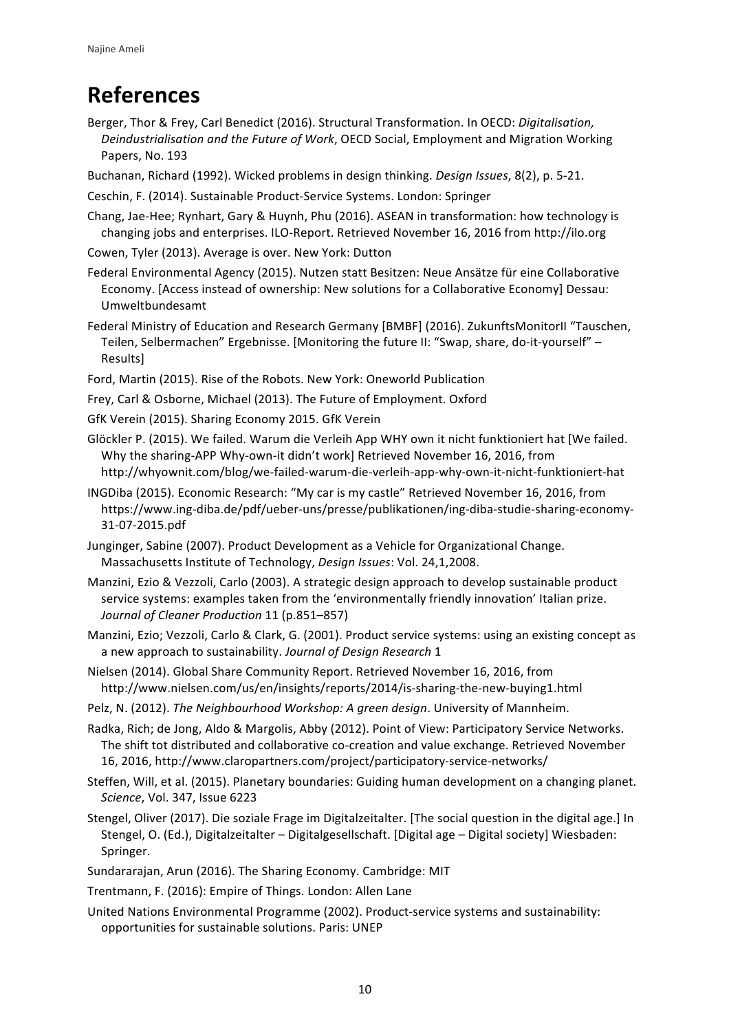### **References**

Berger, Thor & Frey, Carl Benedict (2016). Structural Transformation. In OECD: *Digitalisation*, Deindustrialisation and the Future of Work, OECD Social, Employment and Migration Working Papers, No. 193

Buchanan, Richard (1992). Wicked problems in design thinking. *Design Issues*, 8(2), p. 5-21.

- Ceschin, F. (2014). Sustainable Product-Service Systems. London: Springer
- Chang, Jae-Hee; Rynhart, Gary & Huynh, Phu (2016). ASEAN in transformation: how technology is changing jobs and enterprises. ILO-Report. Retrieved November 16, 2016 from http://ilo.org
- Cowen, Tyler (2013). Average is over. New York: Dutton
- Federal Environmental Agency (2015). Nutzen statt Besitzen: Neue Ansätze für eine Collaborative Economy. [Access instead of ownership: New solutions for a Collaborative Economy] Dessau: Umweltbundesamt
- Federal Ministry of Education and Research Germany [BMBF] (2016). ZukunftsMonitorII "Tauschen, Teilen, Selbermachen" Ergebnisse. [Monitoring the future II: "Swap, share, do-it-yourself" -Results]
- Ford, Martin (2015). Rise of the Robots. New York: Oneworld Publication
- Frey, Carl & Osborne, Michael (2013). The Future of Employment. Oxford
- GfK Verein (2015). Sharing Economy 2015. GfK Verein
- Glöckler P. (2015). We failed. Warum die Verleih App WHY own it nicht funktioniert hat [We failed. Why the sharing-APP Why-own-it didn't work] Retrieved November 16, 2016, from http://whyownit.com/blog/we-failed-warum-die-verleih-app-why-own-it-nicht-funktioniert-hat
- INGDiba (2015). Economic Research: "My car is my castle" Retrieved November 16, 2016, from https://www.ing-diba.de/pdf/ueber-uns/presse/publikationen/ing-diba-studie-sharing-economy-31-07-2015.pdf
- Junginger, Sabine (2007). Product Development as a Vehicle for Organizational Change. Massachusetts Institute of Technology, *Design Issues*: Vol. 24,1,2008.
- Manzini, Ezio & Vezzoli, Carlo (2003). A strategic design approach to develop sustainable product service systems: examples taken from the 'environmentally friendly innovation' Italian prize. *Journal of Cleaner Production* 11 (p.851–857)
- Manzini, Ezio; Vezzoli, Carlo & Clark, G. (2001). Product service systems: using an existing concept as a new approach to sustainability. Journal of Design Research 1
- Nielsen (2014). Global Share Community Report. Retrieved November 16, 2016, from http://www.nielsen.com/us/en/insights/reports/2014/is-sharing-the-new-buying1.html
- Pelz, N. (2012). *The Neighbourhood Workshop: A green design*. University of Mannheim.
- Radka, Rich; de Jong, Aldo & Margolis, Abby (2012). Point of View: Participatory Service Networks. The shift tot distributed and collaborative co-creation and value exchange. Retrieved November 16, 2016, http://www.claropartners.com/project/participatory-service-networks/
- Steffen, Will, et al. (2015). Planetary boundaries: Guiding human development on a changing planet. *Science*, *Vol.* 347, Issue 6223
- Stengel, Oliver (2017). Die soziale Frage im Digitalzeitalter. [The social question in the digital age.] In Stengel, O. (Ed.), Digitalzeitalter - Digitalgesellschaft. [Digital age - Digital society] Wiesbaden: Springer.
- Sundararajan, Arun (2016). The Sharing Economy. Cambridge: MIT
- Trentmann, F. (2016): Empire of Things. London: Allen Lane
- United Nations Environmental Programme (2002). Product-service systems and sustainability: opportunities for sustainable solutions. Paris: UNEP